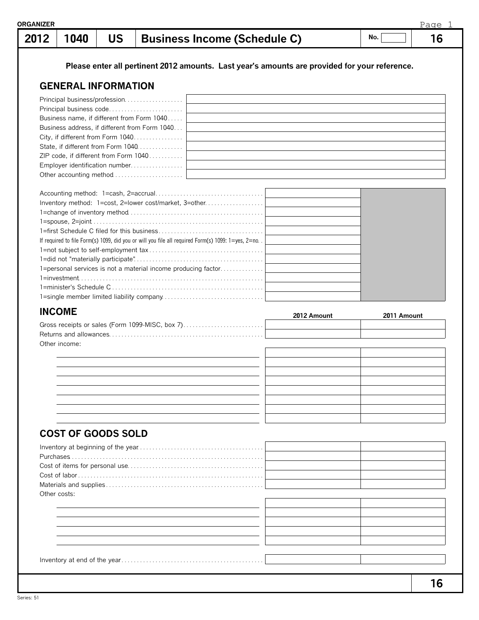| 2012 | 1040                       | <b>US</b> | <b>Business Income (Schedule C)</b>                                                               |             | No.         | 16 |
|------|----------------------------|-----------|---------------------------------------------------------------------------------------------------|-------------|-------------|----|
|      |                            |           | Please enter all pertinent 2012 amounts. Last year's amounts are provided for your reference.     |             |             |    |
|      | <b>GENERAL INFORMATION</b> |           |                                                                                                   |             |             |    |
|      |                            |           | Principal business/profession                                                                     |             |             |    |
|      |                            |           | Principal business code                                                                           |             |             |    |
|      |                            |           | Business name, if different from Form 1040                                                        |             |             |    |
|      |                            |           | Business address, if different from Form 1040                                                     |             |             |    |
|      |                            |           | City, if different from Form 1040                                                                 |             |             |    |
|      |                            |           | State, if different from Form 1040<br>ZIP code, if different from Form 1040                       |             |             |    |
|      |                            |           | Employer identification number                                                                    |             |             |    |
|      |                            |           | Other accounting method                                                                           |             |             |    |
|      |                            |           |                                                                                                   |             |             |    |
|      |                            |           | Inventory method: 1=cost, 2=lower cost/market, 3=other.                                           |             |             |    |
|      |                            |           |                                                                                                   |             |             |    |
|      |                            |           |                                                                                                   |             |             |    |
|      |                            |           |                                                                                                   |             |             |    |
|      |                            |           | If required to file Form(s) 1099, did you or will you file all required Form(s) 1099: 1=yes, 2=no |             |             |    |
|      |                            |           |                                                                                                   |             |             |    |
|      |                            |           | 1=personal services is not a material income producing factor                                     |             |             |    |
|      |                            |           |                                                                                                   |             |             |    |
|      |                            |           |                                                                                                   |             |             |    |
|      |                            |           |                                                                                                   |             |             |    |
|      |                            |           |                                                                                                   |             |             |    |
|      | <b>INCOME</b>              |           |                                                                                                   |             |             |    |
|      |                            |           |                                                                                                   | 2012 Amount | 2011 Amount |    |
|      |                            |           | Gross receipts or sales (Form 1099-MISC, box 7)                                                   |             |             |    |
|      | Other income:              |           |                                                                                                   |             |             |    |
|      |                            |           |                                                                                                   |             |             |    |
|      |                            |           |                                                                                                   |             |             |    |
|      |                            |           |                                                                                                   |             |             |    |
|      |                            |           |                                                                                                   |             |             |    |
|      |                            |           |                                                                                                   |             |             |    |
|      |                            |           |                                                                                                   |             |             |    |
|      |                            |           |                                                                                                   |             |             |    |
|      | <b>COST OF GOODS SOLD</b>  |           |                                                                                                   |             |             |    |
|      |                            |           |                                                                                                   |             |             |    |
|      |                            |           |                                                                                                   |             |             |    |
|      |                            |           |                                                                                                   |             |             |    |
|      |                            |           |                                                                                                   |             |             |    |
|      | Other costs:               |           |                                                                                                   |             |             |    |
|      |                            |           |                                                                                                   |             |             |    |
|      |                            |           |                                                                                                   |             |             |    |
|      |                            |           |                                                                                                   |             |             |    |
|      |                            |           |                                                                                                   |             |             |    |
|      |                            |           |                                                                                                   |             |             |    |
|      |                            |           |                                                                                                   |             |             |    |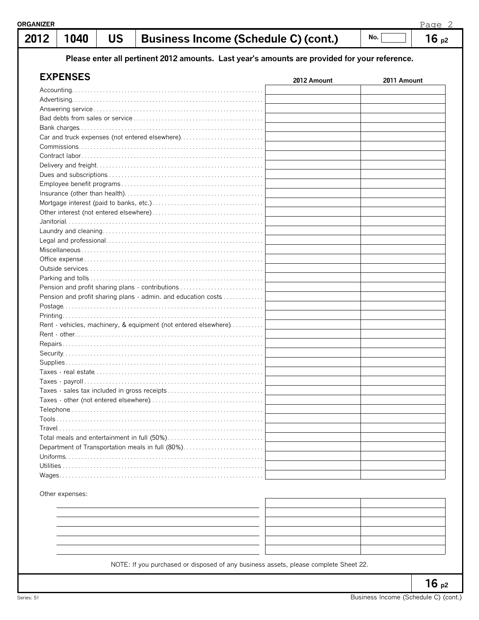| 2012 | 1040                | <b>US</b> | <b>Business Income (Schedule C) (cont.)</b>                                                   |             | No.         | 16p2 |
|------|---------------------|-----------|-----------------------------------------------------------------------------------------------|-------------|-------------|------|
|      |                     |           | Please enter all pertinent 2012 amounts. Last year's amounts are provided for your reference. |             |             |      |
|      | <b>EXPENSES</b>     |           |                                                                                               |             |             |      |
|      |                     |           |                                                                                               | 2012 Amount | 2011 Amount |      |
|      |                     |           |                                                                                               |             |             |      |
|      |                     |           |                                                                                               |             |             |      |
|      |                     |           |                                                                                               |             |             |      |
|      |                     |           |                                                                                               |             |             |      |
|      |                     |           |                                                                                               |             |             |      |
|      |                     |           | Car and truck expenses (not entered elsewhere)                                                |             |             |      |
|      |                     |           |                                                                                               |             |             |      |
|      |                     |           |                                                                                               |             |             |      |
|      |                     |           |                                                                                               |             |             |      |
|      |                     |           |                                                                                               |             |             |      |
|      |                     |           |                                                                                               |             |             |      |
|      |                     |           |                                                                                               |             |             |      |
|      |                     |           |                                                                                               |             |             |      |
|      |                     |           |                                                                                               |             |             |      |
|      |                     |           |                                                                                               |             |             |      |
|      |                     |           |                                                                                               |             |             |      |
|      |                     |           |                                                                                               |             |             |      |
|      |                     |           |                                                                                               |             |             |      |
|      |                     |           |                                                                                               |             |             |      |
|      |                     |           |                                                                                               |             |             |      |
|      |                     |           |                                                                                               |             |             |      |
|      |                     |           | Pension and profit sharing plans - contributions                                              |             |             |      |
|      |                     |           | Pension and profit sharing plans - admin. and education costs                                 |             |             |      |
|      |                     |           |                                                                                               |             |             |      |
|      |                     |           |                                                                                               |             |             |      |
|      |                     |           | Rent - vehicles, machinery, & equipment (not entered elsewhere)                               |             |             |      |
|      |                     |           |                                                                                               |             |             |      |
|      |                     |           |                                                                                               |             |             |      |
|      |                     |           |                                                                                               |             |             |      |
|      |                     |           |                                                                                               |             |             |      |
|      | Taxes - real estate |           |                                                                                               |             |             |      |
|      |                     |           |                                                                                               |             |             |      |
|      |                     |           |                                                                                               |             |             |      |
|      |                     |           |                                                                                               |             |             |      |
|      |                     |           |                                                                                               |             |             |      |
|      |                     |           |                                                                                               |             |             |      |
|      |                     |           |                                                                                               |             |             |      |
|      |                     |           |                                                                                               |             |             |      |
|      |                     |           | Department of Transportation meals in full (80%)                                              |             |             |      |
|      |                     |           |                                                                                               |             |             |      |
|      |                     |           |                                                                                               |             |             |      |
|      |                     |           |                                                                                               |             |             |      |

Other expenses:

| _______                                                                                |  |
|----------------------------------------------------------------------------------------|--|
| the contract of the contract of the contract of the contract of the contract of<br>— н |  |
|                                                                                        |  |
|                                                                                        |  |
|                                                                                        |  |

NOTE: If you purchased or disposed of any business assets, please complete Sheet 22.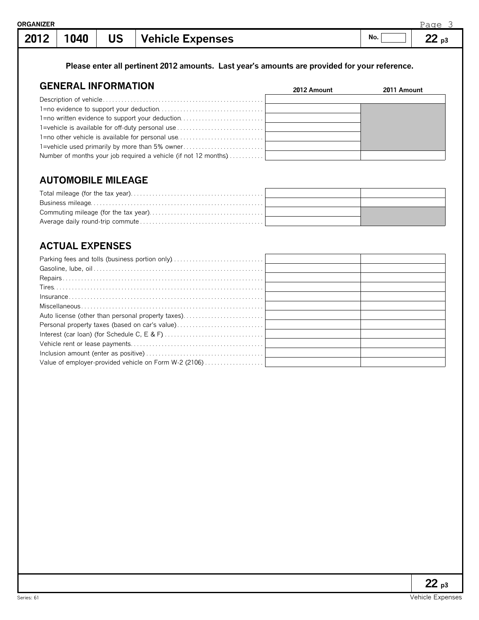| <b>≀GANIZER</b> |      |    |                         |     | ⊃∽<br>$\cap \cap$<br>$\overline{\phantom{a}}$ |
|-----------------|------|----|-------------------------|-----|-----------------------------------------------|
| 2012            | 1040 | US | <b>Vehicle Expenses</b> | No. | n,<br>D.                                      |

**Please enter all pertinent 2012 amounts. Last year's amounts are provided for your reference.**

#### **GENERAL INFORMATION** Description of vehicle. . . . . . . . . . . . . . . . . . . . . . . . . . . . . . . . . . . . . . . . . . . . . . . . . . . . 1=no evidence to support your deduction. . . . . . . . . . . . . . . . . . . . . . . . . . . . . . . . . . 1=no written evidence to support your deduction............................ 1=vehicle is available for off-duty personal use . . . . . . . . . . . . . . . . . . . . . . . . . . . . 1=no other vehicle is available for personal use .............................. 1=vehicle used primarily by more than 5% owner............................. Number of months your job required a vehicle (if not 12 months)........... **2012 Amount 2011 Amount**

#### **AUTOMOBILE MILEAGE**

# **ACTUAL EXPENSES**

| Auto license (other than personal property taxes)     |  |
|-------------------------------------------------------|--|
| Personal property taxes (based on car's value)        |  |
|                                                       |  |
|                                                       |  |
|                                                       |  |
| Value of employer-provided vehicle on Form W-2 (2106) |  |